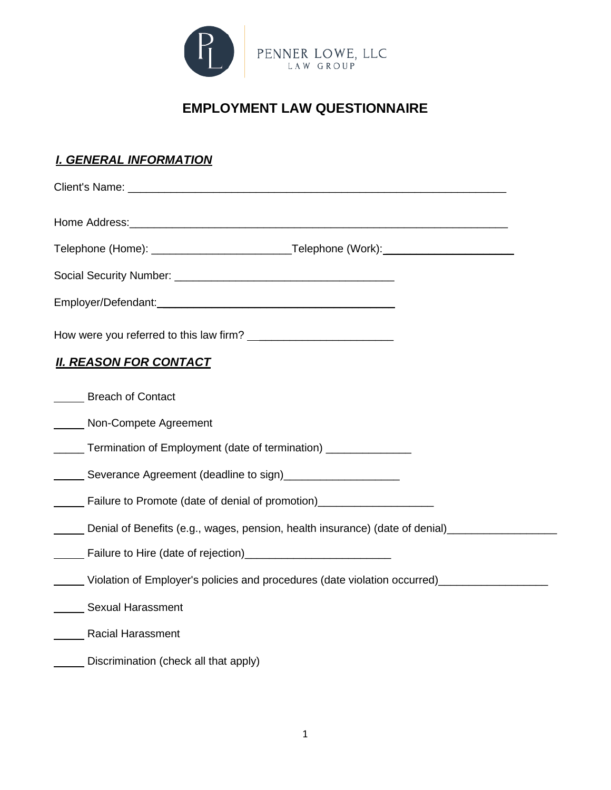

## **EMPLOYMENT LAW QUESTIONNAIRE**

| <u>I. GENERAL INFORMATION</u>                                                                                                                                 |
|---------------------------------------------------------------------------------------------------------------------------------------------------------------|
|                                                                                                                                                               |
|                                                                                                                                                               |
|                                                                                                                                                               |
|                                                                                                                                                               |
|                                                                                                                                                               |
| How were you referred to this law firm?                                                                                                                       |
| <u>II. REASON FOR CONTACT</u>                                                                                                                                 |
| <b>Breach of Contact</b>                                                                                                                                      |
| Non-Compete Agreement                                                                                                                                         |
| ______ Termination of Employment (date of termination) _______________                                                                                        |
| Severance Agreement (deadline to sign)<br><u>Landscore Severance Agreement</u> (deadline to sign)                                                             |
| <b>Failure to Promote (date of denial of promotion)</b> [100]                                                                                                 |
| Denial of Benefits (e.g., wages, pension, health insurance) (date of denial)                                                                                  |
| Failure to Hire (date of rejection)<br><u> Letter and the contract of the contract of the substitute of the substitute of the substitute of the substitu</u>  |
| Violation of Employer's policies and procedures (date violation occurred)<br>_______Violation of Employer's policies and procedures (date violation occurred) |
| <b>Sexual Harassment</b>                                                                                                                                      |
| <b>Racial Harassment</b>                                                                                                                                      |
| Discrimination (check all that apply)                                                                                                                         |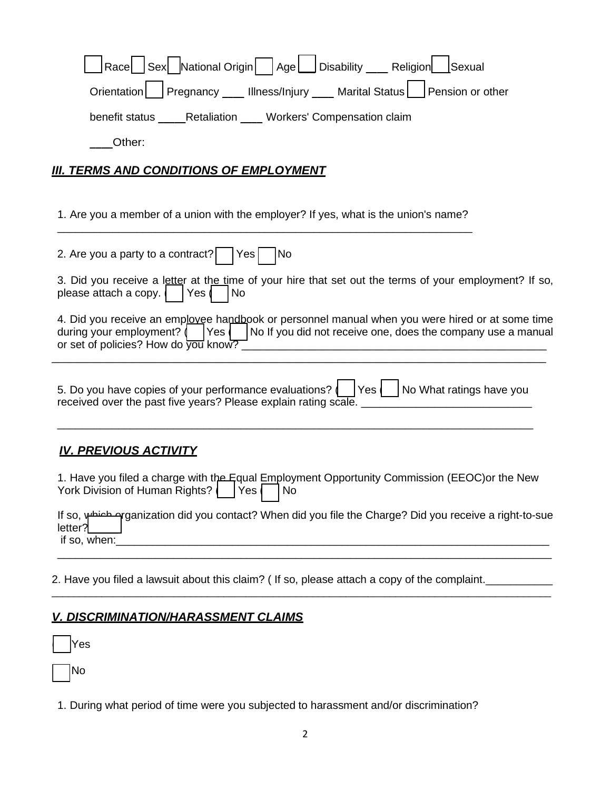| Race Sex National Origin Age Disability ____ Religion<br>Sexual<br>Orientation   Pregnancy ___ Illness/Injury ___ Marital Status  <br>Pension or other<br>benefit status _____Retaliation ____ Workers' Compensation claim<br>Other: |
|--------------------------------------------------------------------------------------------------------------------------------------------------------------------------------------------------------------------------------------|
| <u>III. TERMS AND CONDITIONS OF EMPLOYMENT</u>                                                                                                                                                                                       |
| 1. Are you a member of a union with the employer? If yes, what is the union's name?                                                                                                                                                  |
| 2. Are you a party to a contract?<br>No<br>Yes                                                                                                                                                                                       |
| 3. Did you receive a letter at the time of your hire that set out the terms of your employment? If so,<br>please attach a copy.<br> Yes <br><b>No</b>                                                                                |
| 4. Did you receive an emplovee handbook or personnel manual when you were hired or at some time<br>No If you did not receive one, does the company use a manual<br>during your employment? $\int$   Yes $\int$                       |
| 5. Do you have copies of your performance evaluations?     Yes     No What ratings have you<br>received over the past five years? Please explain rating scale.                                                                       |
| <u>IV. PREVIOUS ACTIVITY</u>                                                                                                                                                                                                         |
| 1. Have you filed a charge with the Equal Employment Opportunity Commission (EEOC) or the New<br>York Division of Human Rights?<br><b>No</b><br> Yes                                                                                 |
| Arganization did you contact? When did you file the Charge? Did you receive a right-to-sue<br>letter?<br>if so, when:                                                                                                                |
|                                                                                                                                                                                                                                      |

2. Have you filed a lawsuit about this claim? ( If so, please attach a copy of the complaint.

## *V. DISCRIMINATION/HARASSMENT CLAIMS*

( ) Yes

 $]$  No

1. During what period of time were you subjected to harassment and/or discrimination?

\_\_\_\_\_\_\_\_\_\_\_\_\_\_\_\_\_\_\_\_\_\_\_\_\_\_\_\_\_\_\_\_\_\_\_\_\_\_\_\_\_\_\_\_\_\_\_\_\_\_\_\_\_\_\_\_\_\_\_\_\_\_\_\_\_\_\_\_\_\_\_\_\_\_\_\_\_\_\_\_\_\_\_\_\_\_\_\_\_\_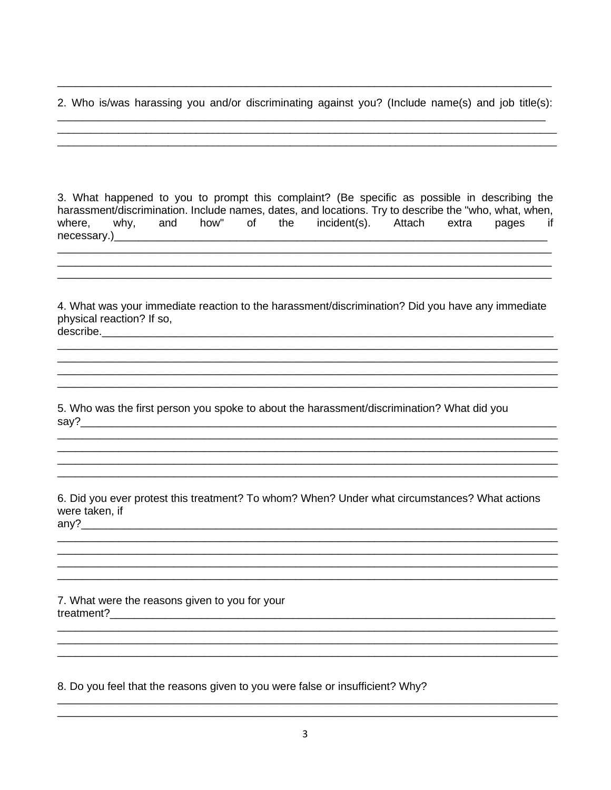2. Who is/was harassing you and/or discriminating against you? (Include name(s) and job title(s):

3. What happened to you to prompt this complaint? (Be specific as possible in describing the harassment/discrimination. Include names, dates, and locations. Try to describe the "who, what, when, where, why, and how" of the incident(s). Attach extra pages if 

4. What was your immediate reaction to the harassment/discrimination? Did you have any immediate physical reaction? If so, 

5. Who was the first person you spoke to about the harassment/discrimination? What did you 

6. Did you ever protest this treatment? To whom? When? Under what circumstances? What actions were taken, if  $anv$ ?

7. What were the reasons given to you for your 

8. Do you feel that the reasons given to you were false or insufficient? Why?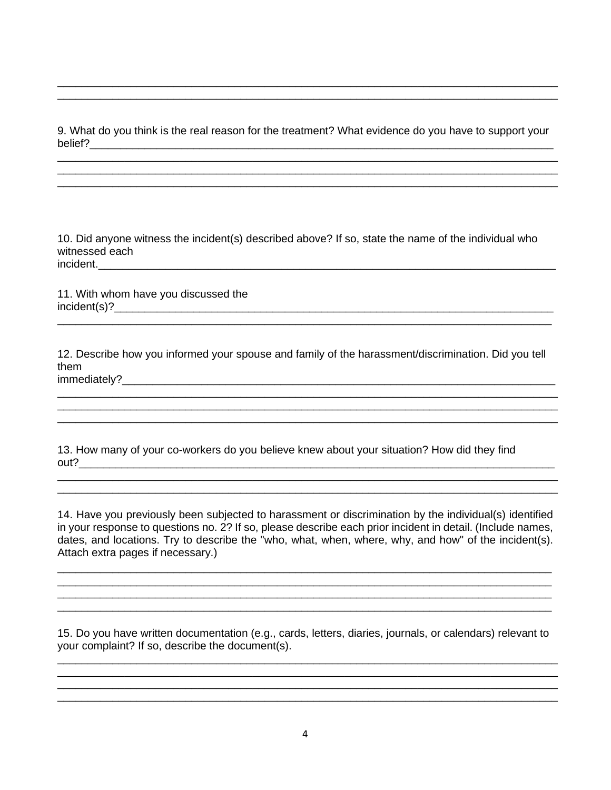9. What do you think is the real reason for the treatment? What evidence do you have to support your belief? The contract of the contract of the contract of the contract of the contract of the contract of the contract of the contract of the contract of the contract of the contract of the contract of the contract of the co

10. Did anyone witness the incident(s) described above? If so, state the name of the individual who witnessed each incident.

11. With whom have you discussed the  $incident(s)?$ 

12. Describe how you informed your spouse and family of the harassment/discrimination. Did you tell them immediately? The contract of the contract of the contract of the contract of the contract of the contract of the contract of the contract of the contract of the contract of the contract of the contract of the contract of t

13. How many of your co-workers do you believe knew about your situation? How did they find 

14. Have you previously been subjected to harassment or discrimination by the individual(s) identified in your response to questions no. 2? If so, please describe each prior incident in detail. (Include names, dates, and locations. Try to describe the "who, what, when, where, why, and how" of the incident(s). Attach extra pages if necessary.)

15. Do you have written documentation (e.g., cards, letters, diaries, journals, or calendars) relevant to your complaint? If so, describe the document(s).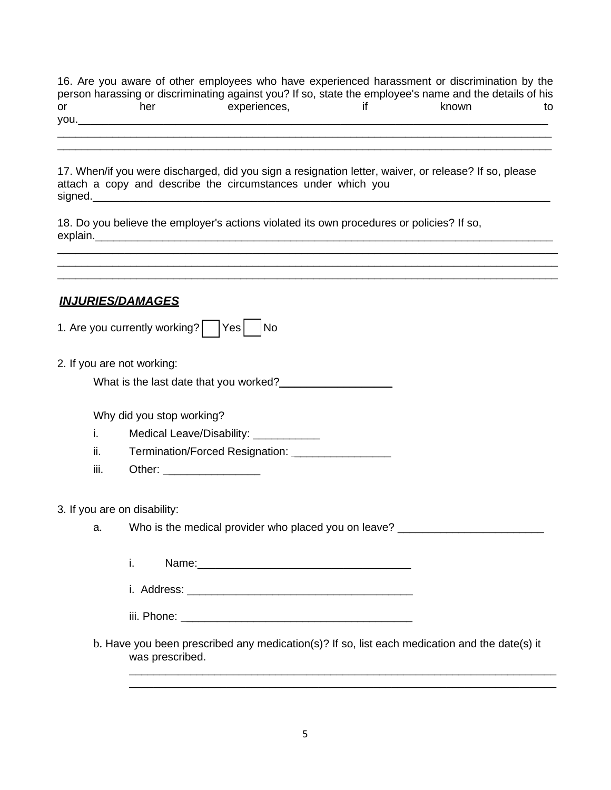16. Are you aware of other employees who have experienced harassment or discrimination by the person harassing or discriminating against you? If so, state the employee's name and the details of his or a her experiences, a set of the known to to you.

\_\_\_\_\_\_\_\_\_\_\_\_\_\_\_\_\_\_\_\_\_\_\_\_\_\_\_\_\_\_\_\_\_\_\_\_\_\_\_\_\_\_\_\_\_\_\_\_\_\_\_\_\_\_\_\_\_\_\_\_\_\_\_\_\_\_\_\_\_\_\_\_\_\_\_\_\_\_\_\_\_ \_\_\_\_\_\_\_\_\_\_\_\_\_\_\_\_\_\_\_\_\_\_\_\_\_\_\_\_\_\_\_\_\_\_\_\_\_\_\_\_\_\_\_\_\_\_\_\_\_\_\_\_\_\_\_\_\_\_\_\_\_\_\_\_\_\_\_\_\_\_\_\_\_\_\_\_\_\_\_\_\_

17. When/if you were discharged, did you sign a resignation letter, waiver, or release? If so, please attach a copy and describe the circumstances under which you signed.

\_\_\_\_\_\_\_\_\_\_\_\_\_\_\_\_\_\_\_\_\_\_\_\_\_\_\_\_\_\_\_\_\_\_\_\_\_\_\_\_\_\_\_\_\_\_\_\_\_\_\_\_\_\_\_\_\_\_\_\_\_\_\_\_\_\_\_\_\_\_\_\_\_\_\_\_\_\_\_\_\_\_ \_\_\_\_\_\_\_\_\_\_\_\_\_\_\_\_\_\_\_\_\_\_\_\_\_\_\_\_\_\_\_\_\_\_\_\_\_\_\_\_\_\_\_\_\_\_\_\_\_\_\_\_\_\_\_\_\_\_\_\_\_\_\_\_\_\_\_\_\_\_\_\_\_\_\_\_\_\_\_\_\_\_ \_\_\_\_\_\_\_\_\_\_\_\_\_\_\_\_\_\_\_\_\_\_\_\_\_\_\_\_\_\_\_\_\_\_\_\_\_\_\_\_\_\_\_\_\_\_\_\_\_\_\_\_\_\_\_\_\_\_\_\_\_\_\_\_\_\_\_\_\_\_\_\_\_\_\_\_\_\_\_\_\_\_

18. Do you believe the employer's actions violated its own procedures or policies? If so, explain.\_\_\_\_\_\_\_\_\_\_\_\_\_\_\_\_\_\_\_\_\_\_\_\_\_\_\_\_\_\_\_\_\_\_\_\_\_\_\_\_\_\_\_\_\_\_\_\_\_\_\_\_\_\_\_\_\_\_\_\_\_\_\_\_\_\_\_\_\_\_\_\_\_\_\_

*INJURIES/DAMAGES*

| 1. Are you currently working? |  | Yes |  | No |
|-------------------------------|--|-----|--|----|
|-------------------------------|--|-----|--|----|

2. If you are not working:

What is the last date that you worked?

Why did you stop working?

- i. Medical Leave/Disability:
- ii. Termination/Forced Resignation: \_\_\_\_\_\_\_\_\_\_\_\_\_\_\_\_
- iii. Other: \_\_\_\_\_\_\_\_\_\_\_\_\_\_\_

3. If you are on disability:

a. Who is the medical provider who placed you on leave? \_\_\_\_\_\_\_\_\_\_\_\_\_\_\_\_\_\_\_\_\_\_\_\_

i. Name:\_\_\_\_\_\_\_\_\_\_\_\_\_\_\_\_\_\_\_\_\_\_\_\_\_\_\_\_\_\_\_\_\_\_\_

i. Address: \_\_\_\_\_\_\_\_\_\_\_\_\_\_\_\_\_\_\_\_\_\_\_\_\_\_\_\_\_\_\_\_\_\_\_\_\_

iii. Phone: \_\_\_\_\_\_\_\_\_\_\_\_\_\_\_\_\_\_\_\_\_\_\_\_\_\_\_\_\_\_\_\_\_\_\_\_\_

b. Have you been prescribed any medication(s)? If so, list each medication and the date(s) it was prescribed.

\_\_\_\_\_\_\_\_\_\_\_\_\_\_\_\_\_\_\_\_\_\_\_\_\_\_\_\_\_\_\_\_\_\_\_\_\_\_\_\_\_\_\_\_\_\_\_\_\_\_\_\_\_\_\_\_\_\_\_\_\_\_\_\_\_\_\_\_\_\_ \_\_\_\_\_\_\_\_\_\_\_\_\_\_\_\_\_\_\_\_\_\_\_\_\_\_\_\_\_\_\_\_\_\_\_\_\_\_\_\_\_\_\_\_\_\_\_\_\_\_\_\_\_\_\_\_\_\_\_\_\_\_\_\_\_\_\_\_\_\_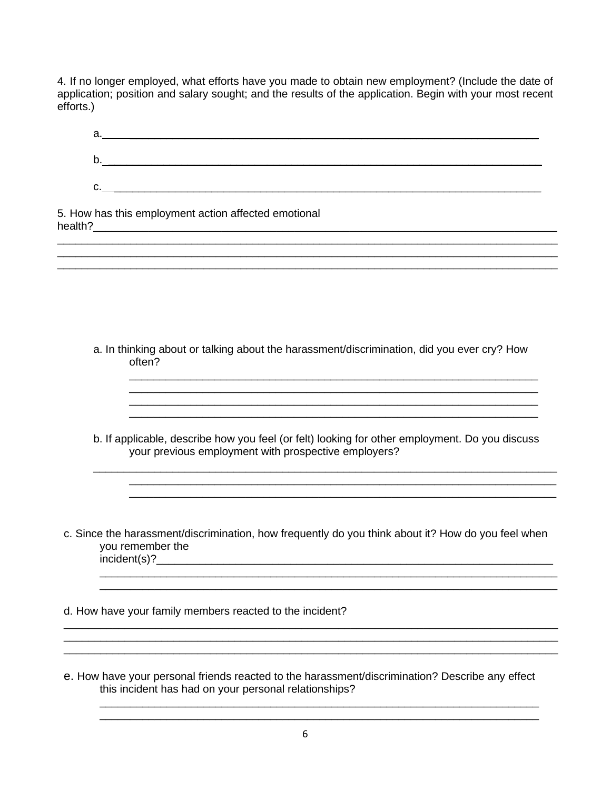4. If no longer employed, what efforts have you made to obtain new employment? (Include the date of application; position and salary sought; and the results of the application. Begin with your most recent efforts.)

| ,我们也不能在这里的人,我们也不能在这里的人,我们也不能在这里的人,我们也不能在这里的人,我们也不能在这里的人,我们也不能在这里的人,我们也不能在这里的人,我们也<br>a. In thinking about or talking about the harassment/discrimination, did you ever cry? How                                        |
|------------------------------------------------------------------------------------------------------------------------------------------------------------------------------------------------------------------------|
|                                                                                                                                                                                                                        |
|                                                                                                                                                                                                                        |
|                                                                                                                                                                                                                        |
|                                                                                                                                                                                                                        |
| <u> 1989 - Johann Harry Harry Harry Harry Harry Harry Harry Harry Harry Harry Harry Harry Harry Harry Harry Harry</u>                                                                                                  |
| <u> 1989 - Johann John Harry Harry Harry Harry Harry Harry Harry Harry Harry Harry Harry Harry Harry Harry Harry</u><br>b. If applicable, describe how you feel (or felt) looking for other employment. Do you discuss |
| c. Since the harassment/discrimination, how frequently do you think about it? How do you feel when<br>incident(s)?                                                                                                     |
|                                                                                                                                                                                                                        |
|                                                                                                                                                                                                                        |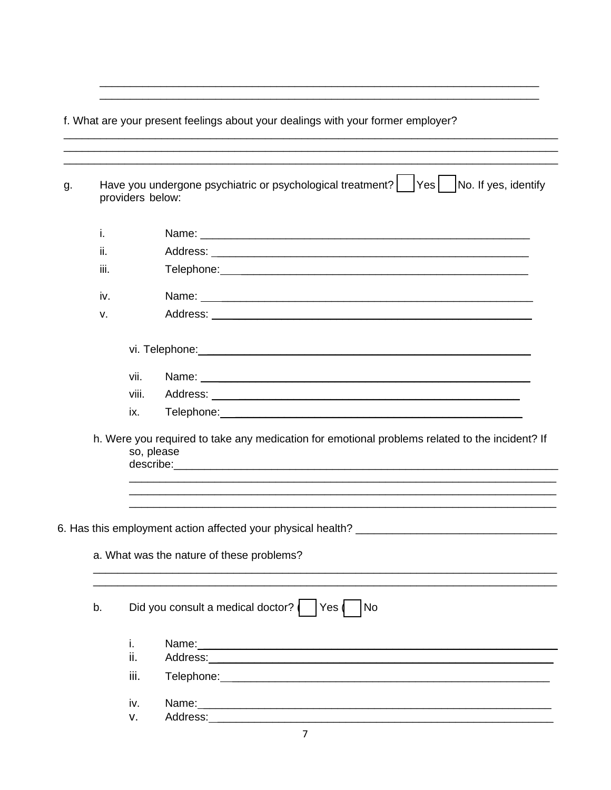f. What are your present feelings about your dealings with your former employer?

| g. | providers below: | Have you undergone psychiatric or psychological treatment?    Yes    No. If yes, identify                                                                                                                                      |
|----|------------------|--------------------------------------------------------------------------------------------------------------------------------------------------------------------------------------------------------------------------------|
|    | i.               |                                                                                                                                                                                                                                |
|    | ii.              |                                                                                                                                                                                                                                |
|    | iii.             |                                                                                                                                                                                                                                |
|    | iv.              |                                                                                                                                                                                                                                |
|    | v.               |                                                                                                                                                                                                                                |
|    |                  | vi. Telephone: William Communication of the Communication of the Communication of the Communication of the Communication of the Communication of the Communication of the Communication of the Communication of the Communicat |
|    | vii.             | Name: Name: Name: Name: Name: Name: Name: Name: Name: Name: Name: Name: Name: Name: Name: Name: Name: Name: Name: Name: Name: Name: Name: Name: Name: Name: Name: Name: Name: Name: Name: Name: Name: Name: Name: Name: Name:  |
|    | viii.            |                                                                                                                                                                                                                                |
|    | ix.              |                                                                                                                                                                                                                                |
|    |                  | so, please                                                                                                                                                                                                                     |
|    |                  |                                                                                                                                                                                                                                |
|    |                  |                                                                                                                                                                                                                                |
|    |                  | a. What was the nature of these problems?                                                                                                                                                                                      |
| b. |                  | Did you consult a medical doctor?<br> Yes <br>No                                                                                                                                                                               |
|    | i.<br>ii.        | h. Were you required to take any medication for emotional problems related to the incident? If                                                                                                                                 |
|    | iii.             |                                                                                                                                                                                                                                |
|    | iv.              |                                                                                                                                                                                                                                |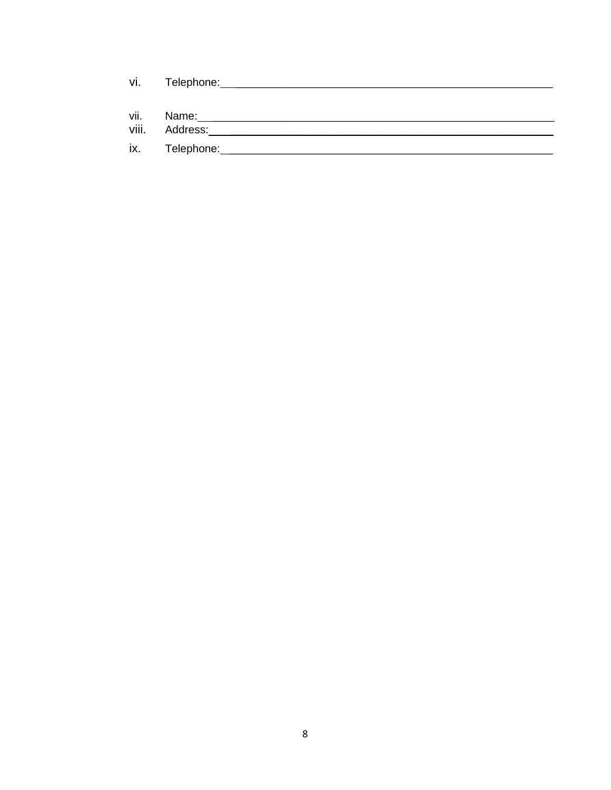| vi.   | Telephone: |  |  |
|-------|------------|--|--|
| vii.  | Name:      |  |  |
| viii. | Address:   |  |  |
| ix.   | Telephone: |  |  |